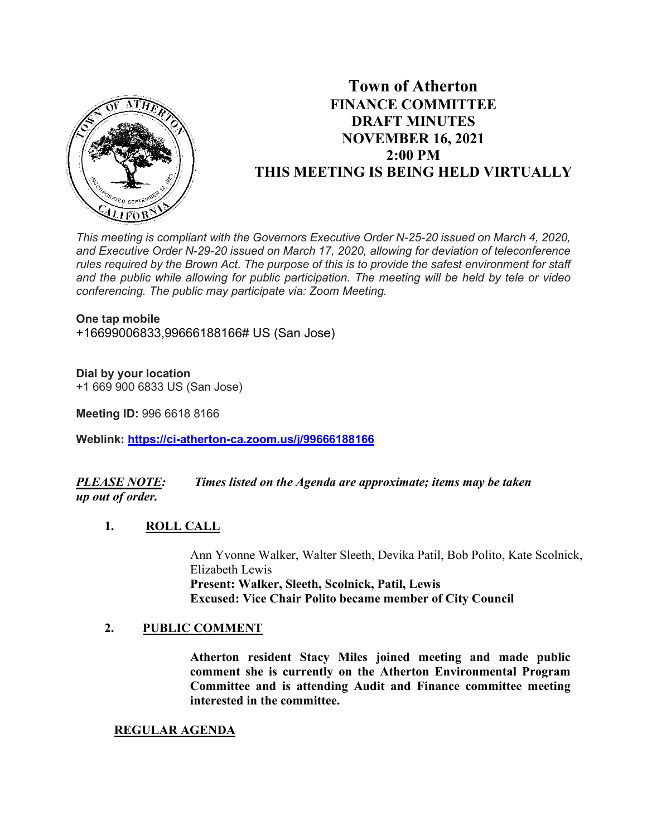

# **Town of Atherton FINANCE COMMITTEE DRAFT MINUTES NOVEMBER 16, 2021 2:00 PM THIS MEETING IS BEING HELD VIRTUALLY**

*This meeting is compliant with the Governors Executive Order N-25-20 issued on March 4, 2020, and Executive Order N-29-20 issued on March 17, 2020, allowing for deviation of teleconference rules required by the Brown Act. The purpose of this is to provide the safest environment for staff and the public while allowing for public participation. The meeting will be held by tele or video conferencing. The public may participate via: Zoom Meeting.*

#### **One tap mobile**

+16699006833,99666188166# US (San Jose)

#### **Dial by your location**

+1 669 900 6833 US (San Jose)

**Meeting ID:** 996 6618 8166

**Weblink: <https://ci-atherton-ca.zoom.us/j/99666188166>**

## *PLEASE NOTE: Times listed on the Agenda are approximate; items may be taken up out of order.*

#### **1. ROLL CALL**

Ann Yvonne Walker, Walter Sleeth, Devika Patil, Bob Polito, Kate Scolnick, Elizabeth Lewis **Present: Walker, Sleeth, Scolnick, Patil, Lewis Excused: Vice Chair Polito became member of City Council**

#### **2. PUBLIC COMMENT**

**Atherton resident Stacy Miles joined meeting and made public comment she is currently on the Atherton Environmental Program Committee and is attending Audit and Finance committee meeting interested in the committee.**

#### **REGULAR AGENDA**